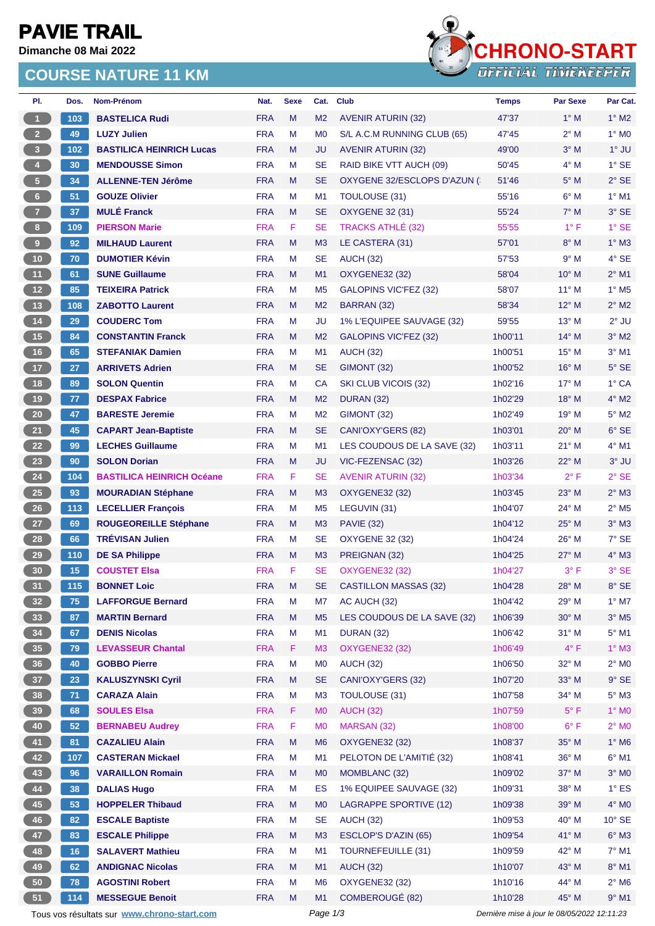# **PAVIE TRAIL**

**Dimanche 08 Mai 2022**

### **COURSE NATURE 11 KM**



| PI.                                                                                                    | Dos.  | Nom-Prénom                       | Nat.       | <b>Sexe</b> | Cat.           | <b>Club</b>                   | <b>Temps</b> | <b>Par Sexe</b> | Par Cat.                   |
|--------------------------------------------------------------------------------------------------------|-------|----------------------------------|------------|-------------|----------------|-------------------------------|--------------|-----------------|----------------------------|
| $\overline{1}$                                                                                         | 103   | <b>BASTELICA Rudi</b>            | <b>FRA</b> | M           | M <sub>2</sub> | <b>AVENIR ATURIN (32)</b>     | 47'37        | $1^\circ$ M     | $1^\circ$ M2               |
| 2 <sup>7</sup>                                                                                         | 49    | <b>LUZY Julien</b>               | <b>FRA</b> | М           | M <sub>0</sub> | S/L A.C.M RUNNING CLUB (65)   | 47'45        | $2^{\circ}$ M   | $1^\circ$ MO               |
| 3 <sup>°</sup>                                                                                         | 102   | <b>BASTILICA HEINRICH Lucas</b>  | <b>FRA</b> | M           | JU             | <b>AVENIR ATURIN (32)</b>     | 49'00        | $3°$ M          | $1^\circ$ JU               |
| $\overline{4}$                                                                                         | 30    | <b>MENDOUSSE Simon</b>           | <b>FRA</b> | М           | <b>SE</b>      | RAID BIKE VTT AUCH (09)       | 50'45        | $4^\circ$ M     | $1^\circ$ SE               |
| $\sqrt{5}$                                                                                             | 34    | <b>ALLENNE-TEN Jérôme</b>        | <b>FRA</b> | M           | <b>SE</b>      | OXYGENE 32/ESCLOPS D'AZUN (   | 51'46        | $5^\circ$ M     | $2°$ SE                    |
| $6-$                                                                                                   | 51    | <b>GOUZE Olivier</b>             | <b>FRA</b> | М           | M1             | TOULOUSE (31)                 | 55'16        | $6^\circ$ M     | $1^\circ$ M1               |
| $\mathbf{7}$                                                                                           | 37    | <b>MULÉ Franck</b>               | <b>FRA</b> | M           | <b>SE</b>      | <b>OXYGENE 32 (31)</b>        | 55'24        | $7^\circ$ M     | 3° SE                      |
| 8                                                                                                      | 109   | <b>PIERSON Marie</b>             | <b>FRA</b> | F           | <b>SE</b>      | <b>TRACKS ATHLÉ (32)</b>      | 55'55        | $1^{\circ}$ F   | $1^\circ$ SE               |
| 9                                                                                                      | 92    | <b>MILHAUD Laurent</b>           | <b>FRA</b> | M           | M3             | LE CASTERA (31)               | 57'01        | $8^\circ$ M     | $1^\circ$ M3               |
| 10 <sup>°</sup>                                                                                        | 70    | <b>DUMOTIER Kévin</b>            | <b>FRA</b> | М           | <b>SE</b>      | <b>AUCH (32)</b>              | 57'53        | 9° M            | 4° SE                      |
| 11                                                                                                     | 61    | <b>SUNE Guillaume</b>            | <b>FRA</b> | M           | M1             | <b>OXYGENE32 (32)</b>         | 58'04        | $10^{\circ}$ M  | $2^{\circ}$ M1             |
| 12                                                                                                     | 85    | <b>TEIXEIRA Patrick</b>          | <b>FRA</b> | М           | M <sub>5</sub> | <b>GALOPINS VIC'FEZ (32)</b>  | 58'07        | $11^{\circ}$ M  | $1^\circ$ M <sub>5</sub>   |
| 13                                                                                                     | 108   | <b>ZABOTTO Laurent</b>           | <b>FRA</b> | M           | M <sub>2</sub> | BARRAN (32)                   | 58'34        | $12^{\circ}$ M  | $2^{\circ}$ M2             |
| $14$                                                                                                   | 29    | <b>COUDERC Tom</b>               | <b>FRA</b> | M           | JU             | 1% L'EQUIPEE SAUVAGE (32)     | 59'55        | $13^{\circ}$ M  | $2°$ JU                    |
| 15                                                                                                     | 84    | <b>CONSTANTIN Franck</b>         | <b>FRA</b> | M           | M <sub>2</sub> | <b>GALOPINS VIC'FEZ (32)</b>  | 1h00'11      | $14^{\circ}$ M  | $3^\circ$ M2               |
| 16                                                                                                     | 65    | <b>STEFANIAK Damien</b>          | <b>FRA</b> | М           | M <sub>1</sub> | <b>AUCH (32)</b>              | 1h00'51      | $15^{\circ}$ M  | $3°$ M1                    |
| 17 <sup>2</sup>                                                                                        | 27    | <b>ARRIVETS Adrien</b>           | <b>FRA</b> | M           | <b>SE</b>      | GIMONT (32)                   | 1h00'52      | $16^{\circ}$ M  | $5^\circ$ SE               |
| 18                                                                                                     | 89    | <b>SOLON Quentin</b>             | <b>FRA</b> | M           | CA             | SKI CLUB VICOIS (32)          | 1h02'16      | $17^\circ$ M    | $1^\circ$ CA               |
| 19                                                                                                     | 77    | <b>DESPAX Fabrice</b>            | <b>FRA</b> | M           | M <sub>2</sub> | <b>DURAN (32)</b>             | 1h02'29      | $18^{\circ}$ M  | $4^{\circ}$ M2             |
| 20 <sub>2</sub>                                                                                        | 47    | <b>BARESTE Jeremie</b>           | <b>FRA</b> | M           | M <sub>2</sub> | GIMONT (32)                   | 1h02'49      | 19° M           | $5^\circ$ M2               |
| 21                                                                                                     | 45    | <b>CAPART Jean-Baptiste</b>      | <b>FRA</b> | M           | <b>SE</b>      | CANI'OXY'GERS (82)            | 1h03'01      | $20^\circ$ M    | $6°$ SE                    |
| 22                                                                                                     | 99    | <b>LECHES Guillaume</b>          | <b>FRA</b> | M           | M <sub>1</sub> | LES COUDOUS DE LA SAVE (32)   | 1h03'11      | $21^{\circ}$ M  | $4^{\circ}$ M1             |
| 23                                                                                                     | 90    | <b>SOLON Dorian</b>              | <b>FRA</b> | M           | JU             | VIC-FEZENSAC (32)             | 1h03'26      | 22° M           | $3°$ JU                    |
| 24                                                                                                     | 104   | <b>BASTILICA HEINRICH Océane</b> | <b>FRA</b> | F           | <b>SE</b>      | <b>AVENIR ATURIN (32)</b>     | 1h03'34      | $2^{\circ}$ F   | $2°$ SE                    |
| 25 <sub>2</sub>                                                                                        | 93    | <b>MOURADIAN Stéphane</b>        | <b>FRA</b> | M           | M3             | OXYGENE32 (32)                | 1h03'45      | $23^\circ$ M    | $2^{\circ}$ M3             |
| 26                                                                                                     | $113$ | <b>LECELLIER François</b>        | <b>FRA</b> | М           | M <sub>5</sub> | LEGUVIN (31)                  | 1h04'07      | 24° M           | $2^{\circ}$ M <sub>5</sub> |
| $27\,$                                                                                                 | 69    | <b>ROUGEOREILLE Stéphane</b>     | <b>FRA</b> | M           | M <sub>3</sub> | <b>PAVIE (32)</b>             | 1h04'12      | $25^{\circ}$ M  | $3^\circ$ M3               |
| 28                                                                                                     | 66    | <b>TRÉVISAN Julien</b>           | <b>FRA</b> | М           | <b>SE</b>      | <b>OXYGENE 32 (32)</b>        | 1h04'24      | 26° M           | $7°$ SE                    |
| 29                                                                                                     | 110   | <b>DE SA Philippe</b>            | <b>FRA</b> | M           | M <sub>3</sub> | PREIGNAN (32)                 | 1h04'25      | $27^\circ$ M    | $4^\circ$ M3               |
| 30                                                                                                     | 15    | <b>COUSTET Elsa</b>              | <b>FRA</b> | F           | <b>SE</b>      | <b>OXYGENE32 (32)</b>         | 1h04'27      | $3^{\circ}$ F   | 3° SE                      |
| 31)                                                                                                    | 115   | <b>BONNET Loic</b>               | <b>FRA</b> | M           | <b>SE</b>      | <b>CASTILLON MASSAS (32)</b>  | 1h04'28      | 28° M           | 8° SE                      |
| 32 <sub>2</sub>                                                                                        | 75    | <b>LAFFORGUE Bernard</b>         | <b>FRA</b> | M           | M7             | AC AUCH (32)                  | 1h04'42      | $29^\circ$ M    | $1^\circ$ M7               |
| 33                                                                                                     | 87    | <b>MARTIN Bernard</b>            | <b>FRA</b> | M           | M <sub>5</sub> | LES COUDOUS DE LA SAVE (32)   | 1h06'39      | $30^\circ$ M    | $3^\circ$ M5               |
| 34                                                                                                     | 67    | <b>DENIS Nicolas</b>             | <b>FRA</b> | M           | M1             | <b>DURAN (32)</b>             | 1h06'42      | $31^\circ$ M    | $5^\circ$ M1               |
| 35                                                                                                     | 79    | <b>LEVASSEUR Chantal</b>         | <b>FRA</b> | F.          | M <sub>3</sub> | <b>OXYGENE32 (32)</b>         | 1h06'49      | $4^{\circ}$ F   | $1^\circ$ M3               |
| 36                                                                                                     | 40    | <b>GOBBO Pierre</b>              | <b>FRA</b> | M           | M <sub>0</sub> | <b>AUCH (32)</b>              | 1h06'50      | 32° M           | $2^{\circ}$ MO             |
| 37 <sup>°</sup>                                                                                        | 23    | <b>KALUSZYNSKI Cyril</b>         | <b>FRA</b> | M           | <b>SE</b>      | CANI'OXY'GERS (32)            | 1h07'20      | 33° M           | $9^{\circ}$ SE             |
| 38                                                                                                     | 71    | <b>CARAZA Alain</b>              | <b>FRA</b> | M           | M <sub>3</sub> | <b>TOULOUSE (31)</b>          | 1h07'58      | 34° M           | $5^\circ$ M3               |
| 39                                                                                                     | 68    | <b>SOULES Elsa</b>               | <b>FRA</b> | F.          | M <sub>0</sub> | <b>AUCH (32)</b>              | 1h07'59      | $5^{\circ}$ F   | $1^\circ$ MO               |
| 40                                                                                                     | 52    | <b>BERNABEU Audrey</b>           | <b>FRA</b> | F           | M <sub>0</sub> | MARSAN (32)                   | 1h08'00      | $6^{\circ}$ F   | $2^{\circ}$ MO             |
| 41                                                                                                     | 81    | <b>CAZALIEU Alain</b>            | <b>FRA</b> | M           | M <sub>6</sub> | <b>OXYGENE32 (32)</b>         | 1h08'37      | 35° M           | $1^\circ$ M6               |
| 42                                                                                                     | 107   | <b>CASTERAN Mickael</b>          | <b>FRA</b> | M           | M1             | PELOTON DE L'AMITIÉ (32)      | 1h08'41      | 36° M           | $6^\circ$ M1               |
| 43                                                                                                     | 96    | <b>VARAILLON Romain</b>          | <b>FRA</b> | M           | M <sub>0</sub> | MOMBLANC (32)                 | 1h09'02      | $37^\circ$ M    | $3^\circ$ MO               |
| 44                                                                                                     | 38    | <b>DALIAS Hugo</b>               | <b>FRA</b> | M           | ES             | 1% EQUIPEE SAUVAGE (32)       | 1h09'31      | 38° M           | $1^\circ$ ES               |
| 45                                                                                                     | 53    | <b>HOPPELER Thibaud</b>          | <b>FRA</b> | M           | M <sub>0</sub> | <b>LAGRAPPE SPORTIVE (12)</b> | 1h09'38      | 39° M           | $4^\circ$ MO               |
| 46                                                                                                     | 82    | <b>ESCALE Baptiste</b>           | <b>FRA</b> | M           | <b>SE</b>      | <b>AUCH (32)</b>              | 1h09'53      | $40^{\circ}$ M  | $10^{\circ}$ SE            |
| 47                                                                                                     | 83    | <b>ESCALE Philippe</b>           | <b>FRA</b> | M           | M3             | <b>ESCLOP'S D'AZIN (65)</b>   | 1h09'54      | 41° M           | $6^\circ$ M3               |
| 48                                                                                                     | 16    | <b>SALAVERT Mathieu</b>          | <b>FRA</b> | М           | M1             | <b>TOURNEFEUILLE (31)</b>     | 1h09'59      | 42° M           | $7^\circ$ M1               |
| 49                                                                                                     | 62    | <b>ANDIGNAC Nicolas</b>          | <b>FRA</b> | M           | M1             | <b>AUCH (32)</b>              | 1h10'07      | 43° M           | 8° M1                      |
| 50                                                                                                     | 78    | <b>AGOSTINI Robert</b>           | <b>FRA</b> | М           | M <sub>6</sub> | <b>OXYGENE32 (32)</b>         | 1h10'16      | 44° M           | $2^{\circ}$ M6             |
| 51                                                                                                     | 114   | <b>MESSEGUE Benoit</b>           | <b>FRA</b> | M           | M1             | COMBEROUGÉ (82)               | 1h10'28      | 45° M           | $9°$ M1                    |
| Page 1/3<br>Dernière mise à jour le 08/05/2022 12:11:23<br>Tous vos résultats sur www.chrono-start.com |       |                                  |            |             |                |                               |              |                 |                            |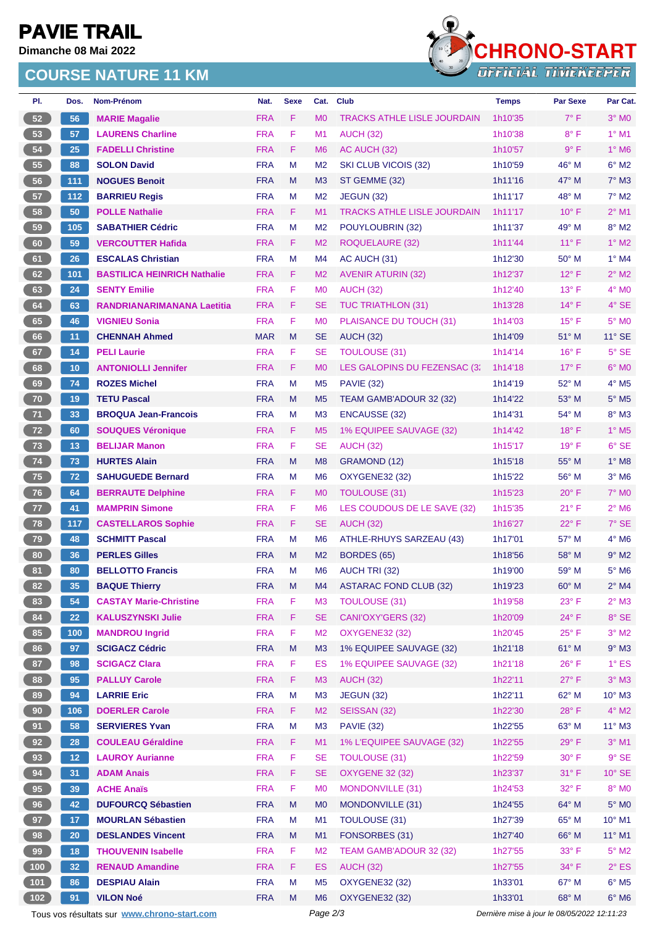# **PAVIE TRAIL**

**Dimanche 08 Mai 2022**

### **COURSE NATURE 11 KM**



| PI.             | Dos.             | Nom-Prénom                                  | Nat.       | <b>Sexe</b> | Cat.           | <b>Club</b>                        | <b>Temps</b>                                | <b>Par Sexe</b> | Par Cat.                   |
|-----------------|------------------|---------------------------------------------|------------|-------------|----------------|------------------------------------|---------------------------------------------|-----------------|----------------------------|
| 52              | 56               | <b>MARIE Magalie</b>                        | <b>FRA</b> | F.          | M <sub>0</sub> | <b>TRACKS ATHLE LISLE JOURDAIN</b> | 1h10'35                                     | $7^{\circ}$ F   | $3°$ MO                    |
| 53              | 57               | <b>LAURENS Charline</b>                     | <b>FRA</b> | F           | M1             | <b>AUCH (32)</b>                   | 1h10'38                                     | $8^{\circ}$ F   | $1^\circ$ M1               |
| 54              | 25               | <b>FADELLI Christine</b>                    | <b>FRA</b> | F           | M <sub>6</sub> | AC AUCH (32)                       | 1h10'57                                     | $9^{\circ}$ F   | $1^\circ$ M6               |
| 55              | 88               | <b>SOLON David</b>                          | <b>FRA</b> | M           | M <sub>2</sub> | SKI CLUB VICOIS (32)               | 1h10'59                                     | $46^{\circ}$ M  | $6^{\circ}$ M2             |
| 56              | 111              | <b>NOGUES Benoit</b>                        | <b>FRA</b> | M           | M <sub>3</sub> | ST GEMME (32)                      | 1h11'16                                     | 47° M           | $7°$ M3                    |
| 57              | 112              | <b>BARRIEU Regis</b>                        | <b>FRA</b> | M           | M <sub>2</sub> | <b>JEGUN (32)</b>                  | 1h11'17                                     | $48^{\circ}$ M  | $7^\circ$ M2               |
| 58              | 50               | <b>POLLE Nathalie</b>                       | <b>FRA</b> | F.          | M <sub>1</sub> | <b>TRACKS ATHLE LISLE JOURDAIN</b> | 1h11'17                                     | $10^{\circ}$ F  | $2^{\circ}$ M1             |
| 59              | 105              | <b>SABATHIER Cédric</b>                     | <b>FRA</b> | M           | M <sub>2</sub> | POUYLOUBRIN (32)                   | 1h11'37                                     | 49° M           | $8^\circ$ M2               |
| 60              | 59               | <b>VERCOUTTER Hafida</b>                    | <b>FRA</b> | F           | M <sub>2</sub> | <b>ROQUELAURE (32)</b>             | 1h11'44                                     | $11^{\circ}$ F  | $1^\circ$ M2               |
| 61              | 26               | <b>ESCALAS Christian</b>                    | <b>FRA</b> | M           | M4             | AC AUCH (31)                       | 1h12'30                                     | $50^{\circ}$ M  | $1^\circ$ M4               |
| 62              | 101              | <b>BASTILICA HEINRICH Nathalie</b>          | <b>FRA</b> | F           | M <sub>2</sub> | <b>AVENIR ATURIN (32)</b>          | 1h12'37                                     | $12^{\circ}$ F  | $2^{\circ}$ M2             |
| 63              | 24               | <b>SENTY Emilie</b>                         | <b>FRA</b> | F           | M <sub>0</sub> | <b>AUCH (32)</b>                   | 1h12'40                                     | $13^{\circ}$ F  | $4^\circ$ MO               |
| 64              | 63               | <b>RANDRIANARIMANANA Laetitia</b>           | <b>FRA</b> | F.          | <b>SE</b>      | <b>TUC TRIATHLON (31)</b>          | 1h13'28                                     | $14^{\circ}$ F  | 4° SE                      |
| 65              | 46               | <b>VIGNIEU Sonia</b>                        | <b>FRA</b> | F           | M <sub>0</sub> | PLAISANCE DU TOUCH (31)            | 1h14'03                                     | $15^{\circ}$ F  | $5^\circ$ MO               |
| 66              | 11               | <b>CHENNAH Ahmed</b>                        | <b>MAR</b> | M           | <b>SE</b>      | <b>AUCH (32)</b>                   | 1h14'09                                     | 51° M           | $11^\circ$ SE              |
| 67              | 14               | <b>PELI Laurie</b>                          | <b>FRA</b> | F           | <b>SE</b>      | <b>TOULOUSE (31)</b>               | 1h14'14                                     | $16^{\circ}$ F  | 5° SE                      |
| 68              | 10               | <b>ANTONIOLLI Jennifer</b>                  | <b>FRA</b> | F           | M <sub>0</sub> | LES GALOPINS DU FEZENSAC (3)       | 1h14'18                                     | $17^{\circ}$ F  | $6°$ MO                    |
| 69              | 74               | <b>ROZES Michel</b>                         | <b>FRA</b> | M           | M <sub>5</sub> | <b>PAVIE (32)</b>                  | 1h14'19                                     | 52° M           | 4° M5                      |
| 70              | 19               | <b>TETU Pascal</b>                          | <b>FRA</b> | M           | M <sub>5</sub> | TEAM GAMB'ADOUR 32 (32)            | 1h14'22                                     | 53° M           | $5^\circ$ M5               |
| 71              | 33               | <b>BROQUA Jean-Francois</b>                 | <b>FRA</b> | M           | M <sub>3</sub> | <b>ENCAUSSE (32)</b>               | 1h14'31                                     | 54° M           | $8^\circ$ M3               |
| 72              | 60               | <b>SOUQUES Véronique</b>                    | <b>FRA</b> | F.          | M <sub>5</sub> | 1% EQUIPEE SAUVAGE (32)            | 1h14'42                                     | $18^{\circ}$ F  | $1^\circ$ M <sub>5</sub>   |
| 73              | 13               | <b>BELIJAR Manon</b>                        | <b>FRA</b> | F           | <b>SE</b>      | <b>AUCH (32)</b>                   | 1h15'17                                     | $19°$ F         | $6°$ SE                    |
| 74              | 73               | <b>HURTES Alain</b>                         | <b>FRA</b> | M           | M <sub>8</sub> | GRAMOND (12)                       | 1h15'18                                     | 55° M           | $1^\circ$ M8               |
| 75              | 72               | <b>SAHUGUEDE Bernard</b>                    | <b>FRA</b> | M           | M <sub>6</sub> | <b>OXYGENE32 (32)</b>              | 1h15'22                                     | 56° M           | $3^\circ$ M <sub>6</sub>   |
| 76              | 64               | <b>BERRAUTE Delphine</b>                    | <b>FRA</b> | F           | M <sub>0</sub> | <b>TOULOUSE (31)</b>               | 1h15'23                                     | $20^{\circ}$ F  | <b>7° MO</b>               |
| 77              | 41               | <b>MAMPRIN Simone</b>                       | <b>FRA</b> | F           | M <sub>6</sub> | LES COUDOUS DE LE SAVE (32)        | 1h15'35                                     | $21^{\circ}$ F  | $2^{\circ}$ M <sub>6</sub> |
| 78              | 117              | <b>CASTELLAROS Sophie</b>                   | <b>FRA</b> | F           | <b>SE</b>      | <b>AUCH (32)</b>                   | 1h16'27                                     | $22^{\circ}$ F  | 7° SE                      |
| 79              | 48               | <b>SCHMITT Pascal</b>                       | <b>FRA</b> | M           | M <sub>6</sub> | ATHLE-RHUYS SARZEAU (43)           | 1h17'01                                     | 57° M           | $4^\circ$ M <sub>6</sub>   |
| 80              | 36               | <b>PERLES Gilles</b>                        | <b>FRA</b> | M           | M <sub>2</sub> | BORDES (65)                        | 1h18'56                                     | 58° M           | $9°$ M2                    |
| 81              | 80               | <b>BELLOTTO Francis</b>                     | <b>FRA</b> | M           | M <sub>6</sub> | AUCH TRI (32)                      | 1h19'00                                     | 59° M           | $5^\circ$ M6               |
| 82              | 35               | <b>BAQUE Thierry</b>                        | <b>FRA</b> | M           | M4             | <b>ASTARAC FOND CLUB (32)</b>      | 1h19'23                                     | $60^\circ$ M    | $2°$ M4                    |
| 83              | 54               | <b>CASTAY Marie-Christine</b>               | <b>FRA</b> | F           | M <sub>3</sub> | <b>TOULOUSE (31)</b>               | 1h19'58                                     | $23^\circ$ F    | $2^{\circ}$ M3             |
| 84              | 22               | <b>KALUSZYNSKI Julie</b>                    | <b>FRA</b> | F           | <b>SE</b>      | CANI'OXY'GERS (32)                 | 1h20'09                                     | $24^{\circ}$ F  | 8° SE                      |
| 85              | 100 <sub>1</sub> | <b>MANDROU Ingrid</b>                       | <b>FRA</b> | F           | M <sub>2</sub> | <b>OXYGENE32 (32)</b>              | 1h20'45                                     | $25^{\circ}$ F  | $3°$ M2                    |
| 86              | 97               | <b>SCIGACZ Cédric</b>                       | <b>FRA</b> | M           | M3             | 1% EQUIPEE SAUVAGE (32)            | 1h21'18                                     | $61^\circ$ M    | $9°$ M3                    |
| 87              | 98               | <b>SCIGACZ Clara</b>                        | <b>FRA</b> | F           | ES             | 1% EQUIPEE SAUVAGE (32)            | 1h21'18                                     | $26^{\circ}$ F  | $1^\circ$ ES               |
| 88              | 95               | <b>PALLUY Carole</b>                        | <b>FRA</b> | F.          | M <sub>3</sub> | <b>AUCH (32)</b>                   | 1h22'11                                     | $27^\circ$ F    | $3°$ M $3$                 |
| 89              | 94               | <b>LARRIE Eric</b>                          | <b>FRA</b> | M           | M <sub>3</sub> | <b>JEGUN (32)</b>                  | 1h22'11                                     | 62° M           | $10^{\circ}$ M3            |
| 90 <sub>o</sub> | 106              | <b>DOERLER Carole</b>                       | <b>FRA</b> | F.          | M <sub>2</sub> | SEISSAN (32)                       | 1h22'30                                     | $28^{\circ}$ F  | $4^\circ$ M2               |
| 91              | 58               | <b>SERVIERES Yvan</b>                       | <b>FRA</b> | M           | M <sub>3</sub> | <b>PAVIE (32)</b>                  | 1h22'55                                     | 63° M           | $11^{\circ}$ M3            |
| 92              | 28               | <b>COULEAU Géraldine</b>                    | <b>FRA</b> | F           | M1             | 1% L'EQUIPEE SAUVAGE (32)          | 1h22'55                                     | $29^\circ$ F    | $3°$ M1                    |
| 93              | 12 <sub>2</sub>  | <b>LAUROY Aurianne</b>                      | <b>FRA</b> | F           | <b>SE</b>      | <b>TOULOUSE (31)</b>               | 1h22'59                                     | $30^{\circ}$ F  | $9°$ SE                    |
| 94              | 31               | <b>ADAM Anais</b>                           | <b>FRA</b> | F           | <b>SE</b>      | <b>OXYGENE 32 (32)</b>             | 1h23'37                                     | $31^{\circ}$ F  | 10° SE                     |
| 95              | 39               | <b>ACHE Anaïs</b>                           | <b>FRA</b> | F           | M <sub>0</sub> | <b>MONDONVILLE (31)</b>            | 1h24'53                                     | 32° F           | 8° MO                      |
| 96              | 42               | <b>DUFOURCQ Sébastien</b>                   | <b>FRA</b> | M           | M <sub>0</sub> | MONDONVILLE (31)                   | 1h24'55                                     | 64° M           | $5^\circ$ MO               |
| 97              | 17 <sub>2</sub>  | <b>MOURLAN Sébastien</b>                    | <b>FRA</b> | M           | M1             | <b>TOULOUSE (31)</b>               | 1h27'39                                     | 65° M           | $10^{\circ}$ M1            |
| 98              | $20\,$           | <b>DESLANDES Vincent</b>                    | <b>FRA</b> | M           | M1             | FONSORBES (31)                     | 1h27'40                                     | 66° M           | $11^{\circ}$ M1            |
| 99              | 18               | <b>THOUVENIN Isabelle</b>                   | <b>FRA</b> | F           | M <sub>2</sub> | TEAM GAMB'ADOUR 32 (32)            | 1h27'55                                     | $33^\circ$ F    | $5^\circ$ M2               |
| (100)           | 32               | <b>RENAUD Amandine</b>                      | <b>FRA</b> | F           | <b>ES</b>      | <b>AUCH (32)</b>                   | 1h27'55                                     | 34° F           | $2^{\circ}$ ES             |
| (101)           | 86               | <b>DESPIAU Alain</b>                        | <b>FRA</b> | M           | M <sub>5</sub> | <b>OXYGENE32 (32)</b>              | 1h33'01                                     | 67° M           | $6^\circ$ M <sub>5</sub>   |
| (102)           | 91               | <b>VILON Noé</b>                            | <b>FRA</b> | M           | M <sub>6</sub> | <b>OXYGENE32 (32)</b>              | 1h33'01                                     | 68° M           | $6^\circ$ M6               |
|                 |                  | Tous vos résultats sur www.chrono-start.com |            |             | Page 2/3       |                                    | Dernière mise à jour le 08/05/2022 12:11:23 |                 |                            |
|                 |                  |                                             |            |             |                |                                    |                                             |                 |                            |